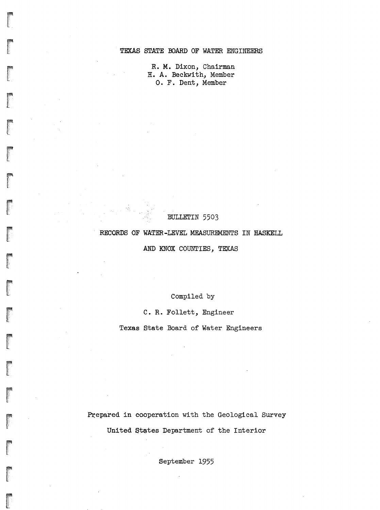## TEXAS STATE BOARD OF WATER ENGINEERS

R. M. Dixon, Chairman H. A. Beckwith, Member O. F. Dent, Member

#### BULLETIN 5503

#### RECORDS OF WATER-LEVEL MEASUREMENTS IN HASKELL

AND KNOX COUNTIES, TEXAS

Compiled by

C. R. Follett, Engineer

Texas State Board of Water Engineers

Prepared in cooperation with the Geological Survey United States Department of the Interior

September 1955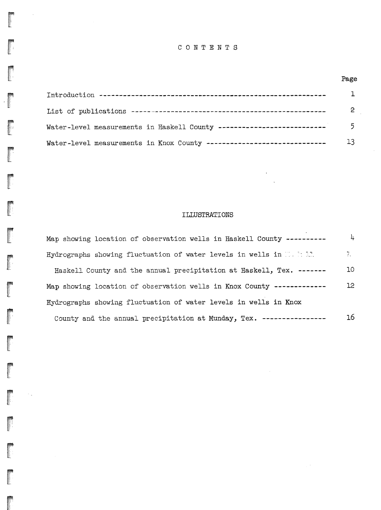## CONTENTS

|                                                                       | Page |
|-----------------------------------------------------------------------|------|
|                                                                       |      |
|                                                                       | 2    |
| Water-level measurements in Haskell County -------------------------- | 5.   |
| Water-level measurements in Knox County ----------------------------- |      |

ra de la construction de la construction de la construction de la construction de la construction de la construction de la construction de la construction de la construction de la construction de la construction de la cons ::<br>1/.;.<br>1/.;.<br>1/.;

 $\sim$ 

I i! : , ,

r<br>Frans of the control of the control of the control of the control of the control of the control of the control of the control of the control of the control of the control of the control of the control of the control of t .'!.'.'.'·',  $\mathbb{E}$ 

> for the control of the control of the control of the control of the control of the control of the control of the control of the control of the control of the control of the control of the control of the control of the cont !'(

read of the control of the control of the control of the control of the control of the control of the control of the control of the control of the control of the control of the control of the control of the control of the

精神化

医甲状腺

I

 $\sim$  .

## ILLUSTRATIONS

 $\Delta$ 

 $\mathcal{A}^{\mathcal{A}}$ 

| Map showing location of observation wells in Haskell County ---------- | 4               |
|------------------------------------------------------------------------|-----------------|
| Hydrographs showing fluctuation of water levels in wells in T. S.R.    | 空川              |
| Haskell County and the annual precipitation at Haskell, Tex. ------    | 10              |
| Map showing location of observation wells in Knox County ------------- | 12 <sup>°</sup> |
| Hydrographs showing fluctuation of water levels in wells in Knox       |                 |
| County and the annual precipitation at Munday, Tex. ----------------   | 16              |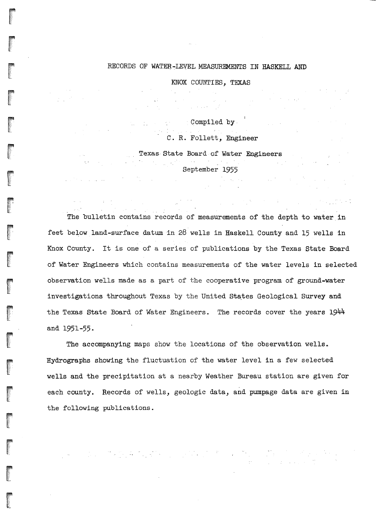#### RECORDS OF WATER-LEVEL MEASUREMENTS IN HASKELL AND

KNOX COUNTIES, TEXAS

Compiled by

 $\label{eq:2} \begin{split} \mathcal{L}_{\text{max}}(\mathcal{A}) = \mathcal{L}_{\text{max}}(\mathcal{A}) \mathcal{L}_{\text{max}}(\mathcal{A}) \mathcal{L}_{\text{max}}(\mathcal{A}) \mathcal{L}_{\text{max}}(\mathcal{A}) \mathcal{L}_{\text{max}}(\mathcal{A}) \mathcal{L}_{\text{max}}(\mathcal{A}) \mathcal{L}_{\text{max}}(\mathcal{A}) \mathcal{L}_{\text{max}}(\mathcal{A}) \mathcal{L}_{\text{max}}(\mathcal{A}) \mathcal{L}_{\text{max}}(\mathcal{A}) \mathcal{L}_{\text{max}}(\mathcal{A}) \mathcal$ 

C. R. Follett, Engineer

医肾上腺炎 医心包

こうこう 大きく オーキング にっこうかんけつその

Texas State Board of Water Engineers ., September 1955

 $\label{eq:2.1} \mathcal{L}(\mathcal{L}) = \mathcal{L}(\mathcal{L}) \mathcal{L}(\mathcal{L}) = \mathcal{L}(\mathcal{L}) \mathcal{L}(\mathcal{L}).$ 

a shekarar ta 1920 a ƙafa ta ƙasar Ingila.<br>'Yan wasan ƙwallon ƙafa ta ƙasar Ingila.

The bulletin contains records of measurements of the depth to water in feet below land-surface datum in 28 wells in Haskell County and 15 wells in Knox County. It is one of <sup>a</sup> series of publications by the Texas state Board of Water Engineers which contains measurements of the water levels in selected observation wells made as a part of the cooperative program of ground-water investigations throughout Texas by the United States Geological Survey and the Texas State Board of Water Engineers. The records cover the years 1944 and 1951-55.

The accompanying maps show the locations of the observation wells. Hydrographs showing the fluctuation of the water level in a few selected wells and the precipitation at a nearby Weather Bureau station are given for each county. Records of wells, geologic data, and pumpage data are given in the following publications.

 $\mathcal{L}_{\mathcal{A}}$  and the contribution of the contribution of the contribution of the contribution of the contribution of the contribution of the contribution of the contribution of the contribution of the contribution of th

rang<br>Kabupatèn Kabupatèn Kabupatèn Kabupatèn Kabupatèn Kabupatèn Kabupatèn Kabupatèn Kabupatèn Kabupatèn Kabupatèn K

ra<br>Maria Barat da Santa Barat da Santa Barat da Santa Barat da Santa Barat da Santa Barat da Santa Barat da Santa l..'.il W

ra<br>Lista de Caractería<br>Lista de Caractería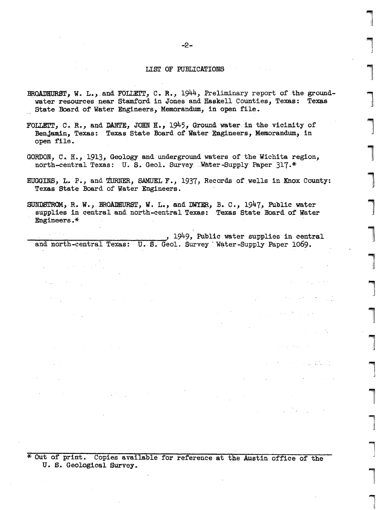#### LIST OF PUBLICATIONS

- BROADHURST, W. L., and FOLLETT, C. R., 1944, Preliminary report of the groundwater resources near Stamford in Jones and Haskell Counties, Texas: Texas State Board of Water Engineers, Memorandum, in open file.
- FOLLETT, C. R., and DANTE, JOHN H., 1945, Ground water in the vicinity of Benjamin, Texas: Texas State Board of Water Engineers, Memorandum, in open file.
- GORDON, C. H., 1913, Geology and underground waters of the Wichita region, north-central Texas: U. S. Geol. Survey Water-Supply Paper 317.\*
- HUGGINS, L. P., and TURNER, SAMUEL F., 1937, Records of wells in Knox County: Texas State Board of Water Engineers.

SUNDSTROM, R. W., BROADHURST, W. L., and DWYER, B. C., 1947, Public water supplies in central and north-central Texas: Texas State Board of Water Engineers.\*

1949, Public water supplies in central and north-central Texas: U.S. Geol. Survey Water-Supply Paper 1069.

\* Out of print. Copies available for reference at the Austin office of the U. S. Geological Survey.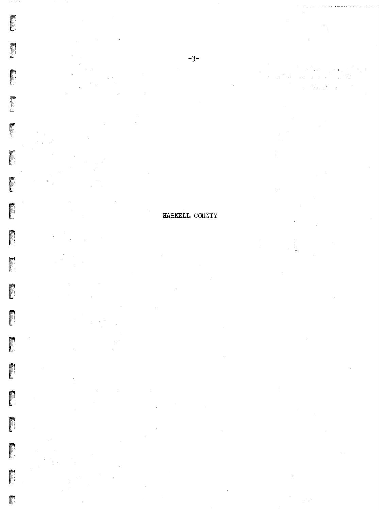**Property** 

 $\blacksquare$ 

 $\mathcal{L}^{\text{max}}$  , where  $\mathcal{L}^{\text{max}}$ J.  $\mathcal{L}$  $\sim 10^7$  $\hat{A}$  . . . .

## HASKELL COUNTY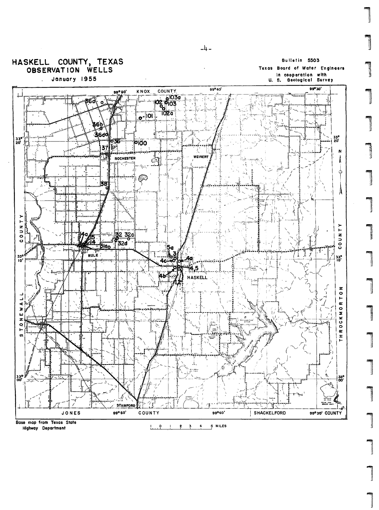

 $-4 -$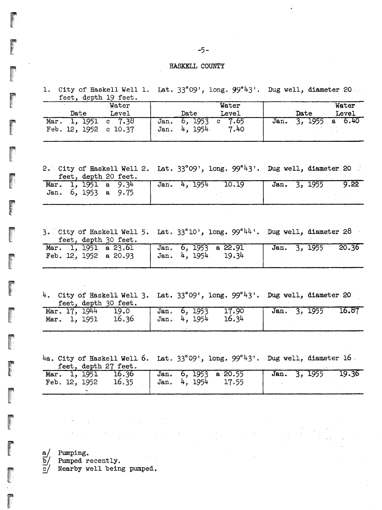#### HASKELL COUNTY

1. City of Haskell Well 1. Lat. 33°09', long. 99.43'. Dug well, diameter 20 feet, depth 19 feet.

 $-5-$ 

| $-000, 0000$                      |                  |                                  |                              |      |                    |  |  |
|-----------------------------------|------------------|----------------------------------|------------------------------|------|--------------------|--|--|
|                                   | Water            |                                  | Water                        |      | Water              |  |  |
| Date                              | Level            | Date                             | Level                        | Date | Level              |  |  |
| Mar.<br>Feb. $12, 1952$ c $10.37$ | 1, 1951 c $7.38$ | 6, 1953<br>Jan.<br>Jan. 4, 1954. | 7.65<br>$\mathbf{c}$<br>7.40 | Jan. | $3, 1955$ a $6.40$ |  |  |

2. City of Haskell Well 2. Lat. 33°09', long. 99°43'. Dug well, diameter 20.

|  | feet, depth 20 feet.    |  |              |  |       |  |              |      |
|--|-------------------------|--|--------------|--|-------|--|--------------|------|
|  | Mar. 1, 1951 a $9.34$   |  | Jan. 4, 1954 |  | 10.19 |  | Jan. 3, 1955 | 9.22 |
|  | Jan. $6, 1953$ a $9.75$ |  |              |  |       |  |              |      |
|  |                         |  |              |  |       |  |              |      |

3. City of Haskell Well 5. Lat.  $33^{\circ}10^{1}$ , long.  $99^{\circ}44^{1}$ . Dug well, diameter 28 feet, depth 30 feet.

| Mar. 1, 1951 a 23.61      | Jan. 6, 1953 a 22.91 | Jan. 3, 1955 20.36 |  |
|---------------------------|----------------------|--------------------|--|
| Feb. $12, 1952$ a $20.93$ | Jan. 4, 1954 19.34   |                    |  |

4. City of Haskell Well 3. Lat.  $33^{\circ}09'$ , long.  $99^{\circ}43'$ . Dug well, diameter 20 feet, depth 30 feet.

|                                         | Mar. 17, 1944 19.0 Jan. 6, 1953 17.90 Jan. 3, 1955 16.87 |  |
|-----------------------------------------|----------------------------------------------------------|--|
| Mar. 1, 1951 16.36   Jan. 4, 1954 16.34 |                                                          |  |

4a. City of Haskell Well 6. Lat. 33°09', long. 99°43'. Dug well, diameter 16.

feet, depth 27 feet.

|  | Mar. 1, 1951 16.36 Jan. 6, 1953 a 20.55  |  |  | Jan. 3, 1955 19.36 |  |  |
|--|------------------------------------------|--|--|--------------------|--|--|
|  | Feb. 12, 1952 16.35   Jan. 4, 1954 17.55 |  |  |                    |  |  |
|  |                                          |  |  |                    |  |  |

 $a/$  Pumping.

Pumped recently.  $b/$ 

 $\overline{c}$ Nearby well being pumped.

 $\label{eq:2.1} \frac{1}{2} \left( \frac{1}{2} \sum_{i=1}^n \frac{1}{2} \left( \frac{1}{2} \sum_{i=1}^n \frac{1}{2} \sum_{i=1}^n \frac{1}{2} \left( \frac{1}{2} \sum_{i=1}^n \frac{1}{2} \sum_{i=1}^n \frac{1}{2} \right) \right) \right)^2}{\left( \sum_{i=1}^n \frac{1}{2} \sum_{i=1}^n \frac{1}{2} \sum_{i=1}^n \frac{1}{2} \sum_{i=1}^n \frac{1}{2} \sum_{i=1}^n \frac{1}{2}$ 

 $\mathcal{A}=\mathcal{B}^{\mathcal{A}}$  , where  $\mathcal{A}^{\mathcal{A}}$  are the set of the set of the set of the set of the set of the set of the set of the set of the set of the set of the set of the set of the set of the set of the set of the se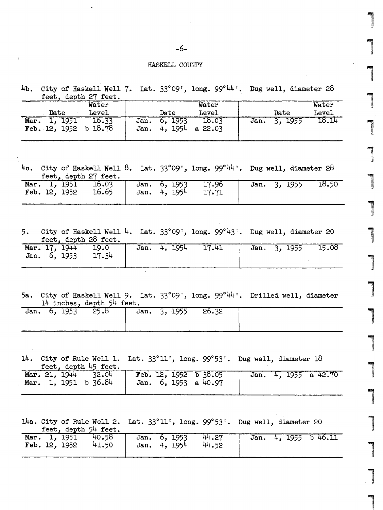### .6-

#### HASKELL COUNTY

4b. City of Haskell Well 7. Lat. 33°09', long. 99°44'. Dug well, diameter 28<br><u>feet, depth 27 feet.</u>

|                                  | Water            |                                    | Water            |      |         |       |  |  |  |
|----------------------------------|------------------|------------------------------------|------------------|------|---------|-------|--|--|--|
| Date                             | Level            | Date                               | Level            |      | Date    | Level |  |  |  |
| 1, 1951<br>Mar.<br>Feb. 12, 1952 | 16.33<br>b 18.78 | 6, 1953<br>Jan.<br>4, 1954<br>Jan. | 18.03<br>a 22.03 | Jan. | 3, 1955 | 18.14 |  |  |  |

,"\

':>.:.\.'::. II

 $\overline{\phantom{0}}$ 

4c. City of Haskell Well 8. Lat. 33°09', long. 99°<sup>44</sup>'. Dug well, diameter 28 feet, depth 27 feet.

|  | $+000, 000, 000, 000$ |                                          |                                                          |  |
|--|-----------------------|------------------------------------------|----------------------------------------------------------|--|
|  |                       | Feb. 12, 1952 16.65   Jan. 4, 1954 17.71 | Mar. 1, 1951 16.03 Jan. 6, 1953 17.96 Jan. 3, 1955 18.50 |  |
|  |                       |                                          |                                                          |  |

5. City of Haskell Well 4. Lat.  $33^{\circ}$ 09', long. 99 $^{\circ}$ 43'. Dug well, diameter 20 feet, depth 28 feet.

| Mar. 17, 1944 19.0<br>Jan. $6, 1953$ 17.34 |  | Jan. 4, 1954 |  | 17.41 |  | Jan. 3, 1955 15.08 |
|--------------------------------------------|--|--------------|--|-------|--|--------------------|
|                                            |  |              |  |       |  |                    |

5a. City of Haskell Well 9. Lat. 33°09', long. 99°44'. Drilled well, diameter 14 inches, depth 54 feet.

| Jan. 6, 1953 25.8 |  | Jan. 3, 1955 | 26.32 |  |
|-------------------|--|--------------|-------|--|
|                   |  |              |       |  |

14. City of Rule Well 1. Lat.  $33^{\circ}11'$ , long.  $99^{\circ}53'$ . Dug well, diameter 18 feet, depth 45 feet.

|  |  |                        | Mar. 21, 1944 32.04 Feb. 12, 1952 b 38.05 | Jan. 4, 1955 a 42.70 |  |
|--|--|------------------------|-------------------------------------------|----------------------|--|
|  |  | Mar. 1, 1951 b $36.84$ | Jan. 6, 1953 a 40.97                      |                      |  |

14a. City of Rule Well 2. Dug well, diameter 20 feet. depth 54 feet

| -----------<br>.                                            |                                       |  |                          |  |  |  |  |  |  |  |
|-------------------------------------------------------------|---------------------------------------|--|--------------------------|--|--|--|--|--|--|--|
| Mar. 1, 1951 40.58 Jan. 6, 1953<br>Feb. $12$ , $1952$ 41.50 | 44.27<br>44.52<br><b>Jan.</b> 4, 1954 |  | Jan. $4, 1955$ b $46.11$ |  |  |  |  |  |  |  |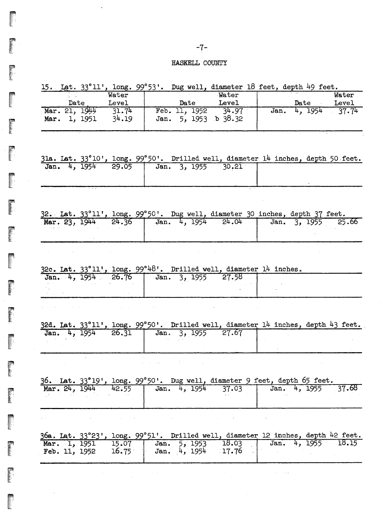## HASKELL COUNTY

|               |       |                     |       |      |              |         | 15. Lat. $33^{\circ}11'$ , long. $99^{\circ}53'$ . Dug well, diameter 18 feet, depth 49 feet.                   |  |              |                    |
|---------------|-------|---------------------|-------|------|--------------|---------|-----------------------------------------------------------------------------------------------------------------|--|--------------|--------------------|
|               |       |                     | Water |      |              |         | Water                                                                                                           |  |              | Water              |
|               | Date. |                     | Level |      |              |         | Date Level                                                                                                      |  | Date         | Level              |
|               |       | Mar. 21, 1944 31.74 |       |      |              |         | Feb. 11, 1952 34.97                                                                                             |  |              | Jan. 4, 1954 37.74 |
|               |       | Mar. 1, 1951        | 34.19 |      |              |         | Jan. 5, 1953 b 38.32                                                                                            |  |              |                    |
|               |       |                     |       |      |              |         |                                                                                                                 |  |              |                    |
|               |       |                     |       |      |              |         |                                                                                                                 |  |              |                    |
|               |       |                     |       |      |              |         |                                                                                                                 |  |              |                    |
|               |       |                     |       |      |              |         |                                                                                                                 |  |              |                    |
|               |       |                     |       |      |              |         | 31a. Lat. 33°10', long. 99°50'. Drilled well, diameter 14 inches, depth 50 feet.                                |  |              |                    |
|               |       |                     |       |      |              |         | Jan. 4, 1954 29.05 Jan. 3, 1955 30.21                                                                           |  |              |                    |
|               |       |                     |       |      |              |         |                                                                                                                 |  |              |                    |
|               |       |                     |       |      |              |         |                                                                                                                 |  |              |                    |
|               |       |                     |       |      |              |         |                                                                                                                 |  |              |                    |
|               |       |                     |       |      |              |         |                                                                                                                 |  |              |                    |
|               |       |                     |       |      |              |         |                                                                                                                 |  |              |                    |
|               |       |                     |       |      |              |         |                                                                                                                 |  |              |                    |
|               |       |                     |       |      |              |         | 32. Lat. 33°11', long. 99°50'. Dug well, diameter 30 inches, depth 37 feet.                                     |  |              |                    |
|               |       | Mar. 23, 1944 24.36 |       |      |              |         | Jan. 4, 1954 24.04                                                                                              |  |              | Jan. 3, 1955 25.66 |
|               |       |                     |       |      |              |         |                                                                                                                 |  |              |                    |
|               |       |                     |       |      |              |         |                                                                                                                 |  |              |                    |
|               |       |                     |       |      |              |         |                                                                                                                 |  |              |                    |
|               |       |                     |       |      |              |         |                                                                                                                 |  |              |                    |
|               |       |                     |       |      |              |         |                                                                                                                 |  |              |                    |
|               |       |                     |       |      |              |         | 32c. Lat. 33°11', long. 99°48'. Drilled well, diameter 14 inches.                                               |  |              |                    |
|               |       |                     |       |      |              |         | Jan. 4, 1954 26.76 Jan. 3, 1955 27.58                                                                           |  |              |                    |
|               |       |                     |       |      |              |         |                                                                                                                 |  |              |                    |
|               |       |                     |       |      |              |         |                                                                                                                 |  |              |                    |
|               |       |                     |       |      |              |         |                                                                                                                 |  |              |                    |
|               |       |                     |       |      |              |         |                                                                                                                 |  |              |                    |
|               |       |                     |       |      |              |         |                                                                                                                 |  |              |                    |
|               |       |                     |       |      |              |         |                                                                                                                 |  |              |                    |
|               |       |                     |       |      |              |         |                                                                                                                 |  |              |                    |
|               |       |                     |       |      |              |         | 32d. Lat. 33°11', long. 99°50'. Drilled well, diameter 14 inches, depth 43 feet.                                |  |              |                    |
|               |       | Jan. 4, 1954        | 26.31 |      |              |         | Jan. 3, 1955 27.67                                                                                              |  |              |                    |
|               |       |                     |       |      |              |         |                                                                                                                 |  |              |                    |
|               |       |                     |       |      |              |         |                                                                                                                 |  |              |                    |
|               |       |                     |       |      |              |         |                                                                                                                 |  |              |                    |
|               |       |                     |       |      |              |         |                                                                                                                 |  |              |                    |
|               |       |                     |       |      |              |         |                                                                                                                 |  |              |                    |
|               |       |                     |       |      |              |         |                                                                                                                 |  |              |                    |
| Mar. 24, 1944 |       |                     | 42.55 |      |              |         | 36. Lat. 33°19', long. 99°50'. Dug well, diameter 9 feet, depth 65 feet.<br>37.03                               |  | Jan. 4, 1955 |                    |
|               |       |                     |       |      | Jan. 4, 1954 |         |                                                                                                                 |  |              |                    |
|               |       |                     |       |      |              |         |                                                                                                                 |  |              | 37.68              |
|               |       |                     |       |      |              |         |                                                                                                                 |  |              |                    |
|               |       |                     |       |      |              |         | the contract of the contract of the contract of the contract of the contract of the contract of the contract of |  |              |                    |
|               |       |                     |       |      |              |         |                                                                                                                 |  |              |                    |
|               |       |                     |       |      |              |         |                                                                                                                 |  |              |                    |
|               |       |                     |       |      |              |         | 36a. Lat. 33°23', long. 99°51'. Drilled well, diameter 12 inches, depth 42 feet.                                |  |              |                    |
| Mar. 1, 1951  |       |                     | 15.07 | Jan. |              | 1953 ر5 | 18.03                                                                                                           |  | Jan. 4, 1955 | 18.15              |
| Feb. 11, 1952 |       |                     | 16.75 |      | Jan. 4, 1954 |         | 17.76                                                                                                           |  |              |                    |
|               |       |                     |       |      |              |         |                                                                                                                 |  |              |                    |

**Friday** 

! ",',i' If":' ,'I

**Production** 

E

医卵形

 $\ddot{\phantom{a}}$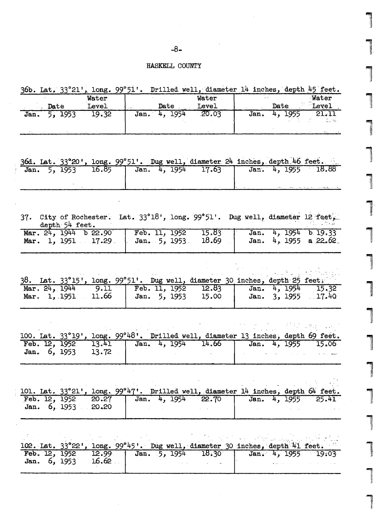## $-8-$

# HASKELL COUNTY

|                                     |                |       |                      | 36b. Lat. 33°21', long. 99°51'. Drilled well, diameter 14 inches, depth 45 feet.                                                                                                                             |                    |                             |
|-------------------------------------|----------------|-------|----------------------|--------------------------------------------------------------------------------------------------------------------------------------------------------------------------------------------------------------|--------------------|-----------------------------|
|                                     |                | Water |                      | Water                                                                                                                                                                                                        |                    | Water                       |
| <b>Date</b> Level                   |                |       |                      | Date Level                                                                                                                                                                                                   |                    | <b>Example 1 Date</b> Level |
| Jan. 5, 1953 19.32                  |                |       |                      | Jan. $4, 1954$ 20.03                                                                                                                                                                                         | Jan. 4, 1955       | 21.11                       |
|                                     |                |       |                      |                                                                                                                                                                                                              |                    | durki                       |
|                                     |                |       |                      |                                                                                                                                                                                                              |                    |                             |
|                                     |                |       |                      | 36d. Lat. 33°20', long. 99°51'. Dug well, diameter 24 inches, depth 46 feet.                                                                                                                                 |                    |                             |
|                                     |                |       |                      | Jan. 5, 1953 16.85 Jan. 4, 1954 17.63 Jan. 4, 1955 18.88                                                                                                                                                     |                    |                             |
|                                     |                |       |                      |                                                                                                                                                                                                              |                    |                             |
|                                     |                |       |                      |                                                                                                                                                                                                              |                    |                             |
|                                     |                |       |                      |                                                                                                                                                                                                              |                    |                             |
|                                     | depth 54 feet. |       |                      | 37. City of Rochester. Lat. 33°18', long. 99°51'. Dug well, diameter 12 feet,                                                                                                                                |                    |                             |
| Mar. $24, 1944$ b $22.90$           |                |       |                      | Feb. 11, 1952 15.83                                                                                                                                                                                          |                    | Jan. 4, 1954 b 19.33        |
| Mar. 1, $1951$ 17.29                |                |       | Jan. 5, 1953.        | 18.69                                                                                                                                                                                                        |                    | Jan. $4, 1955$ a $22.62$    |
|                                     |                |       |                      | 38. Lat. 33°15', long. 99°51'. Dug well, diameter 30 inches, depth 25 feet.<br>Mar. 24, 1944 9.11   Feb. 11, 1952 12.83   Jan. 4, 1954 15.32<br>Mar. 1, 1951 11.66   Jan. 5, 1953 15.00   Jan. 3, 1955 17.40 | Jan. 3, 1955 17.40 | Jan. 4, 1954 15.32          |
|                                     |                |       |                      | 100. Lat. 33°19', long. 99°48'. Drilled well, diameter 13 inches, depth 69 feet.                                                                                                                             |                    |                             |
| Feb. 12, 1952                       |                | 13.41 |                      | Jan. 4, 1954 14.66   Jan. 4, 1955 15.06                                                                                                                                                                      |                    |                             |
| Jan. 6, 1953                        |                | 13.72 |                      |                                                                                                                                                                                                              |                    |                             |
|                                     |                |       |                      |                                                                                                                                                                                                              |                    |                             |
|                                     |                |       |                      | 101. Lat. 33°21', long. 99°47'. Drilled well, diameter 14 inches, depth 64 feet.                                                                                                                             |                    |                             |
| Feb. 12, 1952<br>Jan. 6, 1953 20.20 |                | 20.27 | Jan. $4, 1954$ 22.70 |                                                                                                                                                                                                              | Jan. 4, 1955       | 25.41                       |
|                                     |                |       |                      |                                                                                                                                                                                                              |                    |                             |
|                                     |                |       |                      | 102. Lat. $33^{\circ}22'$ , long. $99^{\circ}45'$ . Dug well, diameter 30 inches, depth 41 feet.                                                                                                             |                    |                             |
| Feb. 12, 1952                       |                | 12.99 |                      | Jan. 5, 1954 18.30                                                                                                                                                                                           | Jan. 4, 1955 19:03 |                             |
| Jan. 6, 1953                        |                | 16.62 |                      |                                                                                                                                                                                                              |                    |                             |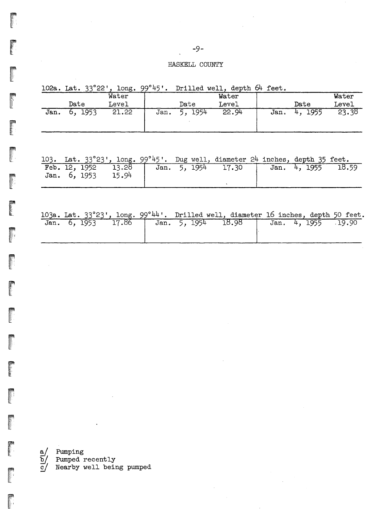## HASKELL COUNTY

|      | 102a. Lat. 33°22' | , $long.99^{\circ}45$ '. |      |            | Drilled well, depth 64 feet. |      |            |       |
|------|-------------------|--------------------------|------|------------|------------------------------|------|------------|-------|
|      |                   | Water                    |      |            | Water                        |      |            | Water |
|      | Date              | Level                    |      | Date       | Level                        |      | Date       | Level |
| Jan. | 1953<br>ь.        | 21.22                    | Jan. | 1954<br>5. | 22.94                        | Jan. | 1955<br>4. | 23.38 |

|              |  |       |                                  |  | 103. Lat. $33^{\circ}23'$ , long. $99^{\circ}45'$ . Dug well, diameter 24 inches, depth 35 feet. |  |              |       |
|--------------|--|-------|----------------------------------|--|--------------------------------------------------------------------------------------------------|--|--------------|-------|
| Jan. 6, 1953 |  | 15.94 | Feb. 12, 1952 13.28 Jan. 5, 1954 |  | 17.30                                                                                            |  | Jan. 4, 1955 | 18.59 |
|              |  |       |                                  |  |                                                                                                  |  |              |       |

|  |  | 103a. Lat. 33°23', long. 99°44'. Drilled well, diameter 16 inches, depth 50 feet. |  |  |  |  |
|--|--|-----------------------------------------------------------------------------------|--|--|--|--|
|  |  |                                                                                   |  |  |  |  |

|  |  | Jan. 6, 1953 17.86   Jan. 5, 1954 18.98   Jan. 4, 1955 19.90 |  |  |
|--|--|--------------------------------------------------------------|--|--|
|  |  |                                                              |  |  |
|  |  |                                                              |  |  |

r<br>a/ Pumping<br>b/ Pumped  $\overline{\text{p}}\text{/}$  Pumped recently<br>c/ Nearby well being pumped

麡

**read** 

**Property** 

**Property** 

*r.:.,.:."-,,.* l\_

**Property**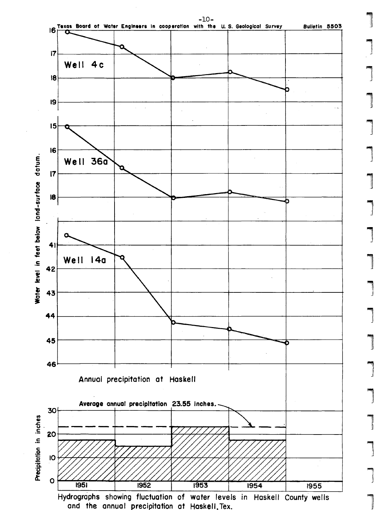

]  $\begin{array}{c} \begin{array}{c} \begin{array}{c} \end{array} \end{array} \end{array}$ **. Increase**  $\overline{\phantom{a}}$  $\overline{\phantom{0}}$  $\overline{\phantom{0}}$  $\begin{array}{c} \begin{array}{c} \begin{array}{c} \begin{array}{c} \end{array} \end{array} \end{array} \end{array} \end{array}$ |<br>|<br>|  $\overline{\phantom{0}}$  $\overline{\phantom{a}}$ **1** |<br>|<br>|<br>| 1 **1**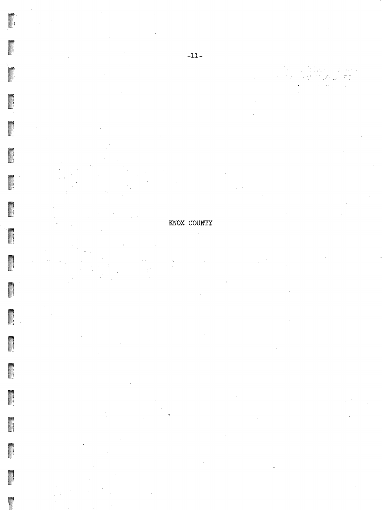KNOX COUNTY  $\mathcal{A}_{\mathcal{A}}$ 

물문

 $\ddot{\phantom{a}}$ 

 $\mathcal{T}(\mathbb{R}^d)$  $\mathbb{C}$  $\zeta^{\prime}$ 

 $\hat{\mathcal{A}}$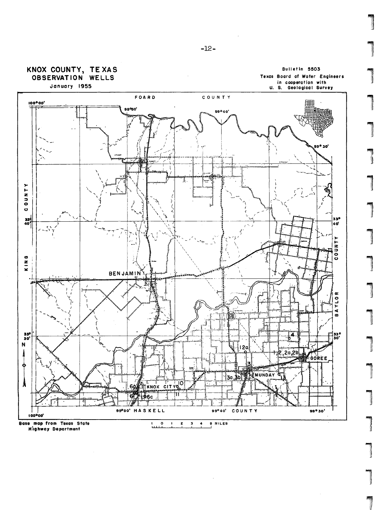

January 1955





 $-12-$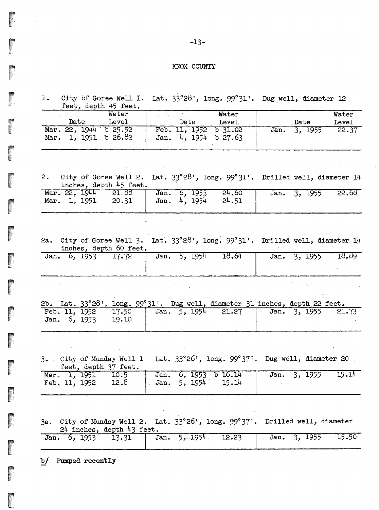#### KNOX COUNTY

1. City of Goree Well 1. Lat. 33°28', long. 99°31'. Dug well, diameter 12 feet, depth 45 feet.

| Water                                              | Water                                           |                 | Water |
|----------------------------------------------------|-------------------------------------------------|-----------------|-------|
| Date<br>Level                                      | Date<br>Level                                   | Date            | Level |
| Mar. 22, 1944<br>$b$ 25.52<br>Mar. 1, 1951 b 26.82 | Feb. 11, 1952 b 31.02<br>Jan. $4, 1954$ b 27.63 | 3, 1955<br>Jan. | 22.37 |

 $\sim$   $\sim$ 

2. City of Goree Well 2. Lat.  $33^{\circ}28'$ , long.  $99^{\circ}31'$ . Drilled well, diameter 14 inches, depth 45 feet.

| Mar. 22, 1944<br>Mar. 1, 1951<br>20.31 | 21.88 Jan. 6, 1953<br>24.60<br>Jan. 4, 1954<br>24.51 | Jan. 3, 1955 22.68 |
|----------------------------------------|------------------------------------------------------|--------------------|
|                                        |                                                      |                    |

2a. City of Goree Well 3. Lat. 33°28', long. 99°31'. Drilled well, diameter 14 inches, depth 60 feet.

| inches, depun ou leeu.          |  |       |              |       |  |  |  |
|---------------------------------|--|-------|--------------|-------|--|--|--|
| Jan. 6, 1953 17.72 Jan. 5, 1954 |  | 18.64 | Jan. 3, 1955 | 18.89 |  |  |  |
|                                 |  |       |              |       |  |  |  |
|                                 |  |       |              |       |  |  |  |

 $\label{eq:2.1} \mathcal{L}^{\mathcal{L}}_{\mathcal{L}}(\mathcal{H})=\mathcal{L}^{\mathcal{L}}_{\mathcal{L}}(\mathcal{L}^{\mathcal{L}}_{\mathcal{L}}(\mathcal{L}^{\mathcal{L}}_{\mathcal{L}}))\otimes\mathcal{L}^{\mathcal{L}}_{\mathcal{L}}(\mathcal{L}^{\mathcal{L}}_{\mathcal{L}}(\mathcal{L}^{\mathcal{L}}_{\mathcal{L}}))$ 

|  |                    |  |  | 2b. Lat. $33^{\circ}28^{\prime}$ , long. $99^{\circ}31^{\prime}$ . Dug well, diameter $31$ inches, depth 22 feet. |  |  |  |
|--|--------------------|--|--|-------------------------------------------------------------------------------------------------------------------|--|--|--|
|  | Jan. 6, 1953 19.10 |  |  | Feb. 11, 1952 17.50 Jan. 5, 1954 21.27 Jan. 3, 1955 21.73                                                         |  |  |  |

**Contractor** 

3. City of Munday Well 1. Lat. 33°26', long. 99°37'. Dug well, diameter 20 feet, depth 37 feet.

|  |                                         |  | Mar. 1, 1951 10.5 Jan. 6, 1953 b 16.14 Jan. 3, 1955 15.14 |  |  |
|--|-----------------------------------------|--|-----------------------------------------------------------|--|--|
|  | Feb. 11, 1952 12.8   Jan. 5, 1954 15.14 |  |                                                           |  |  |

3a... City of' Munday Well 2. Lato 33°26', long. *99°37'.* Drilled well, diameter  $24$  inches, depth  $43$  feet.

 $\mathcal{L}_{\text{max}}$  and  $\mathcal{L}_{\text{max}}$ 

|  |  | Jan. 6, 1953 13.31 Jan. 5, 1954 12.23 Jan. 3, 1955 15.50 |  |  |
|--|--|----------------------------------------------------------|--|--|
|  |  |                                                          |  |  |

b/ Pumped recently

 $\mathcal{L}_{\text{L}}$  and  $\mathcal{L}_{\text{L}}$  and  $\mathcal{L}_{\text{L}}$  and  $\mathcal{L}_{\text{L}}$ 

**Contractor** 

r..  $\mathbb Z$  .  $\cdots$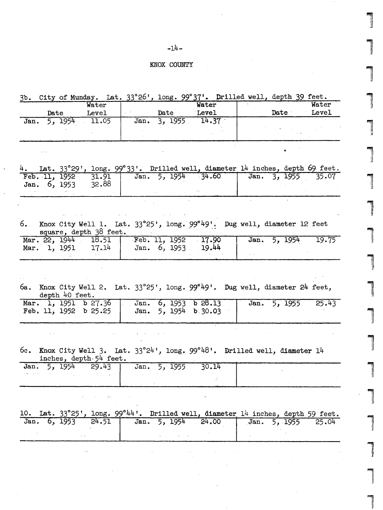#### -14-

#### KNOX COUNTY

3b. City of Munday. Lat. 33°26', long. 99°37'. Drilled well, depth 39 feet.

| Water |      |       |      |      | Water | Water |       |  |  |
|-------|------|-------|------|------|-------|-------|-------|--|--|
|       | Date | Level |      | Date | Level | Date  | Level |  |  |
| Jan.  | 1954 | 11.05 | Jan. | 1955 | 14.37 |       |       |  |  |
|       |      |       |      |      |       |       |       |  |  |

,

**increased** 

1

··.·.).~.~. (,

,...\...'.'...•..

(I

"'I'i ..•.:. Ii

"<br>"<br>"<br>"<br><br><br><br><br><br><br><br><br><br><br><br><br><br><br><br><br><br><br>

1

|<br>|<br>|<br>|<br>|

lar<br>1

4. Lat. 33°29', long. 99°33'. Drilled well, diameter 14 inches, depth 69 feet.<br>Feb. 11, 1952 31.91 Jan. 5, 1954 34.60 Jan. 3, 1955 35.07  $\begin{array}{|l|c|c|c|c|c|}\n\hline\n\text{5, 1954} & \text{5, 1954} \\
\hline\n\text{5, 1954} & \text{5, 1955} \\
\hline\n\text{5, 1955} & \text{5, 07}\n\hline\n\end{array}$ Jan. 6, 1953

6. Knox City Well 1. Lat.  $33^{\circ}25$ ', long.  $99^{\circ}49$ '. Dug well, diameter 12 feet square, depth 38 feet.<br>22, 1944 18.51 Mar. 22, 1944 18.51<br>Mar. 1, 1951 17.14 Mar. 1, 1951 Feb. 11, 1952 Feb. 11, 1952 17.90<br>Jan. 6, 1953 19.44 .19 •.44 Jan. 5, 1954 19.75

6a o. Knox City Well 2 •. Lat. 33°25', long. *99°49' .•.* Dug well, diameter 24 feet, depth 40 feet.

|  |  |  |  |  |                                              |  |  | Mar. 1, 1951 b 27.36 Jan. 6, 1953 b 28.13 Jan. 5, 1955 25.43 |
|--|--|--|--|--|----------------------------------------------|--|--|--------------------------------------------------------------|
|  |  |  |  |  | Feb. 11, 1952 b 25.25   Jan. 5, 1954 b 30.03 |  |  |                                                              |
|  |  |  |  |  |                                              |  |  |                                                              |

6c. Knox City Well 3. Lat. 33°24', long. 99°48'. Drilled well, diameter 14

|              | inches, depth 54 feet. | --- |              |       |  |
|--------------|------------------------|-----|--------------|-------|--|
| Jan. 5, 1954 | $4 - 29.43$            |     | Jan. 5, 1955 | 30.14 |  |
|              |                        |     |              |       |  |

|  |  |  |  | 10. Lat. 33°25', long. 99°44'. Drilled well, diameter 14 inches, depth 59 feet. |  |  |  |
|--|--|--|--|---------------------------------------------------------------------------------|--|--|--|
|  |  |  |  | Jan. 6, 1953 24.51 Jan. 5, 1954 24.00 Jan. 5, 1955 25.04                        |  |  |  |
|  |  |  |  |                                                                                 |  |  |  |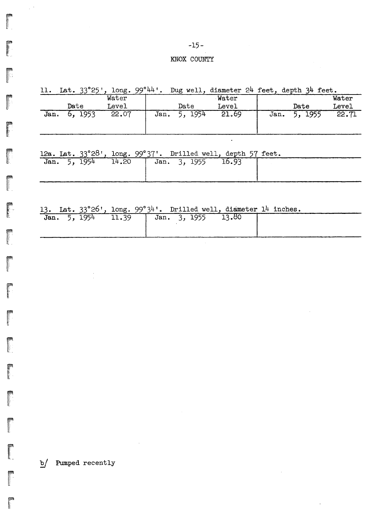$\mathbb{R}^3$ 

regian

**REAGER** 

## $-15-$

## KNOX COUNTY

| 11.  | Lat. $33^{\circ}25$ ' | $long.99^{\circ}$ 44'. |      | Dug well, | , diameter 24 feet, depth 34 feet. |      |            |       |
|------|-----------------------|------------------------|------|-----------|------------------------------------|------|------------|-------|
|      |                       | Water                  |      |           | Water                              |      |            | Water |
|      | Date                  | Level                  |      | Date      | Level                              |      | Date       | Level |
| Jan. | - 1953<br>o.          | 22.07                  | Jan. | 1954      | 21.69                              | Jan. | 1955<br>5. | 22.71 |

# 12a. Lat. 33°28', long. 99°37'. Drilled well, depth 57 feet.

| Jan. 5, 1954 | 14.20 | Jan. 3, 1955 | 16.93 |  |  |
|--------------|-------|--------------|-------|--|--|
|              |       |              |       |  |  |
|              |       |              |       |  |  |
|              |       |              |       |  |  |

# 13. Lat. 33°26', long. 99°34'. Drilled well, diameter 14 inches.

| --           | -- |       |              |  |       |  |
|--------------|----|-------|--------------|--|-------|--|
| Jan. 5, 1954 |    | 11.39 | Jan. 3, 1955 |  | 13.80 |  |
|              |    |       |              |  |       |  |
|              |    |       |              |  |       |  |
|              |    |       |              |  |       |  |